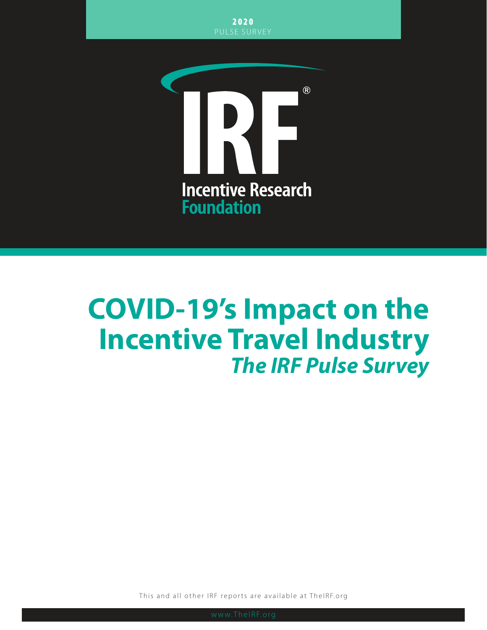

# **COVID-19's Impact on the Incentive Travel Industry** *The IRF Pulse Survey*

This and all other IRF reports are available at TheIRF.org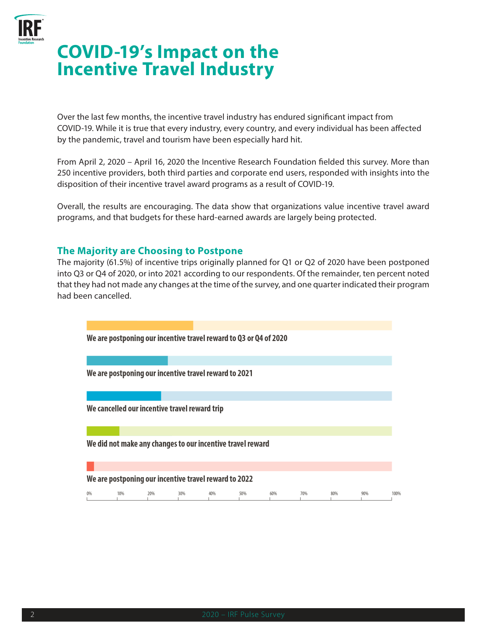

# **COVID-19's Impact on the Incentive Travel Industry**

Over the last few months, the incentive travel industry has endured significant impact from COVID-19. While it is true that every industry, every country, and every individual has been affected by the pandemic, travel and tourism have been especially hard hit.

From April 2, 2020 – April 16, 2020 the Incentive Research Foundation fielded this survey. More than 250 incentive providers, both third parties and corporate end users, responded with insights into the disposition of their incentive travel award programs as a result of COVID-19.

Overall, the results are encouraging. The data show that organizations value incentive travel award programs, and that budgets for these hard-earned awards are largely being protected.

#### **The Majority are Choosing to Postpone**

The majority (61.5%) of incentive trips originally planned for Q1 or Q2 of 2020 have been postponed into Q3 or Q4 of 2020, or into 2021 according to our respondents. Of the remainder, ten percent noted that they had not made any changes at the time of the survey, and one quarter indicated their program had been cancelled.

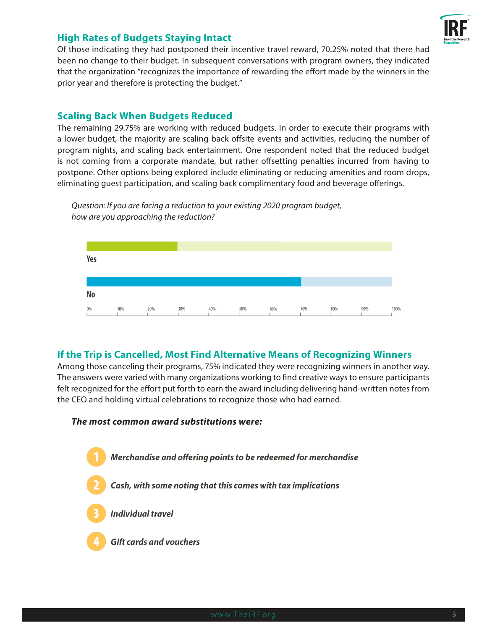

# **High Rates of Budgets Staying Intact**

Of those indicating they had postponed their incentive travel reward, 70.25% noted that there had been no change to their budget. In subsequent conversations with program owners, they indicated that the organization "recognizes the importance of rewarding the effort made by the winners in the prior year and therefore is protecting the budget."

### **Scaling Back When Budgets Reduced**

The remaining 29.75% are working with reduced budgets. In order to execute their programs with a lower budget, the majority are scaling back offsite events and activities, reducing the number of program nights, and scaling back entertainment. One respondent noted that the reduced budget is not coming from a corporate mandate, but rather offsetting penalties incurred from having to postpone. Other options being explored include eliminating or reducing amenities and room drops, eliminating guest participation, and scaling back complimentary food and beverage offerings.



*Question: If you are facing a reduction to your existing 2020 program budget, how are you approaching the reduction?*

# **If the Trip is Cancelled, Most Find Alternative Means of Recognizing Winners**

Among those canceling their programs, 75% indicated they were recognizing winners in another way. The answers were varied with many organizations working to find creative ways to ensure participants felt recognized for the effort put forth to earn the award including delivering hand-written notes from the CEO and holding virtual celebrations to recognize those who had earned.

# *The most common award substitutions were:*

- Merchandise and offering points to be redeemed for merchandise
	- Cash, with some noting that this comes with tax implications
	- **Individual travel**
	- **Gift cards and vouchers**